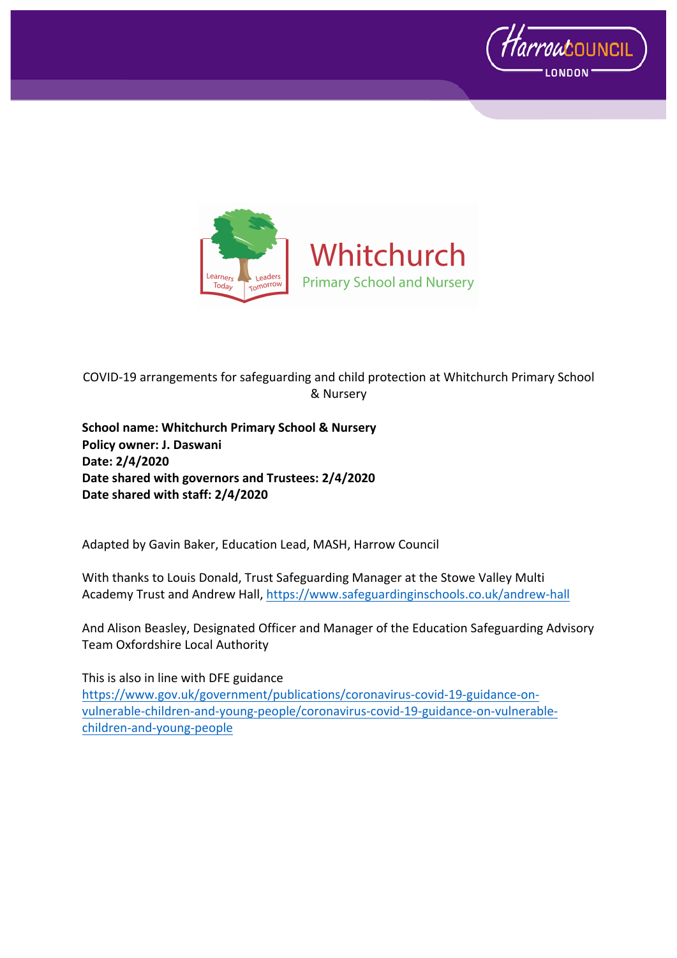



COVID-19 arrangements for safeguarding and child protection at Whitchurch Primary School & Nursery

**School name: Whitchurch Primary School & Nursery Policy owner: J. Daswani Date: 2/4/2020 Date shared with governors and Trustees: 2/4/2020 Date shared with staff: 2/4/2020**

Adapted by Gavin Baker, Education Lead, MASH, Harrow Council

With thanks to Louis Donald, Trust Safeguarding Manager at the Stowe Valley Multi Academy Trust and Andrew Hall, https://www.safeguardinginschools.co.uk/andrew-hall

And Alison Beasley, Designated Officer and Manager of the Education Safeguarding Advisory Team Oxfordshire Local Authority

This is also in line with DFE guidance https://www.gov.uk/government/publications/coronavirus-covid-19-guidance-onvulnerable-children-and-young-people/coronavirus-covid-19-guidance-on-vulnerablechildren-and-young-people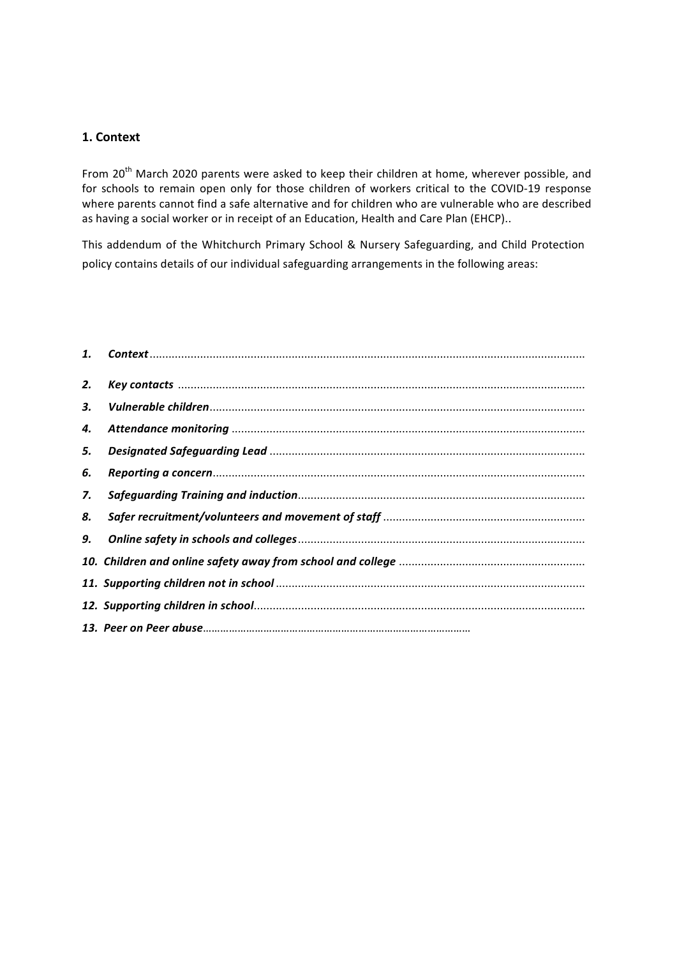## **1. Context**

From 20<sup>th</sup> March 2020 parents were asked to keep their children at home, wherever possible, and for schools to remain open only for those children of workers critical to the COVID-19 response where parents cannot find a safe alternative and for children who are vulnerable who are described as having a social worker or in receipt of an Education, Health and Care Plan (EHCP)..

This addendum of the Whitchurch Primary School & Nursery Safeguarding, and Child Protection policy contains details of our individual safeguarding arrangements in the following areas:

| 2. |  |
|----|--|
| 3. |  |
| 4. |  |
| 5. |  |
| 6. |  |
| 7. |  |
| 8. |  |
| 9. |  |
|    |  |
|    |  |
|    |  |
|    |  |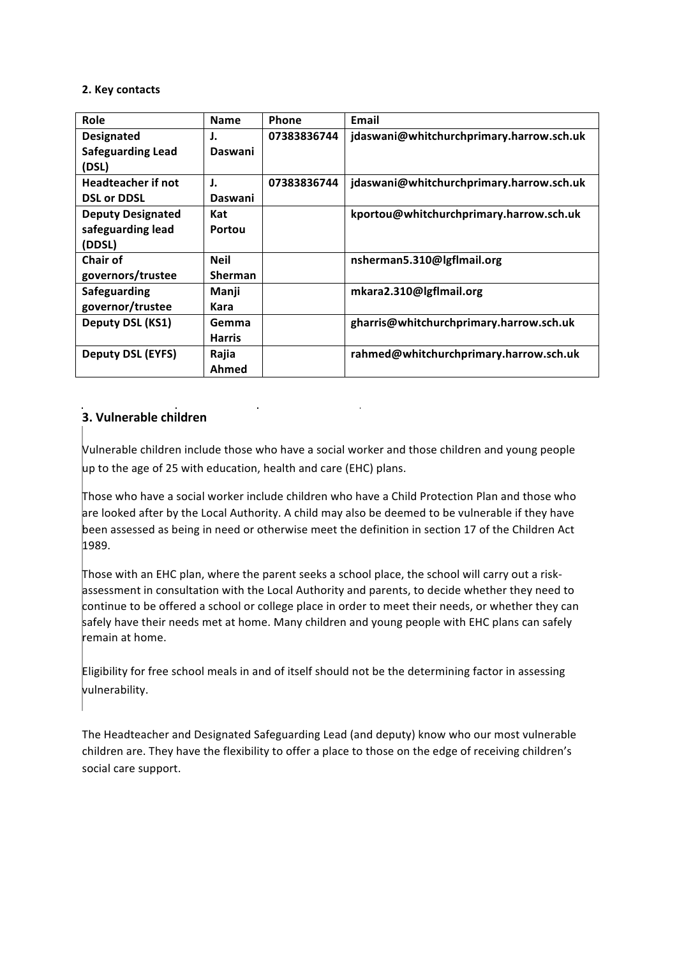#### **2. Key contacts**

| Role                      | <b>Name</b>    | <b>Phone</b> | Email                                    |
|---------------------------|----------------|--------------|------------------------------------------|
| <b>Designated</b>         | J.             | 07383836744  | jdaswani@whitchurchprimary.harrow.sch.uk |
| <b>Safeguarding Lead</b>  | Daswani        |              |                                          |
| (DSL)                     |                |              |                                          |
| <b>Headteacher if not</b> | J.             | 07383836744  | jdaswani@whitchurchprimary.harrow.sch.uk |
| <b>DSL or DDSL</b>        | Daswani        |              |                                          |
| <b>Deputy Designated</b>  | Kat            |              | kportou@whitchurchprimary.harrow.sch.uk  |
| safeguarding lead         | Portou         |              |                                          |
| (DDSL)                    |                |              |                                          |
| Chair of                  | <b>Neil</b>    |              | nsherman5.310@lgflmail.org               |
| governors/trustee         | <b>Sherman</b> |              |                                          |
| Safeguarding              | Manji          |              | mkara2.310@lgflmail.org                  |
| governor/trustee          | Kara           |              |                                          |
| Deputy DSL (KS1)          | Gemma          |              | gharris@whitchurchprimary.harrow.sch.uk  |
|                           | <b>Harris</b>  |              |                                          |
| <b>Deputy DSL (EYFS)</b>  | Rajia          |              | rahmed@whitchurchprimary.harrow.sch.uk   |
|                           | Ahmed          |              |                                          |

# **3. Vulnerable children**

Vulnerable children include those who have a social worker and those children and young people up to the age of 25 with education, health and care (EHC) plans.

Those who have a social worker include children who have a Child Protection Plan and those who are looked after by the Local Authority. A child may also be deemed to be vulnerable if they have been assessed as being in need or otherwise meet the definition in section 17 of the Children Act 1989.

Those with an EHC plan, where the parent seeks a school place, the school will carry out a riskassessment in consultation with the Local Authority and parents, to decide whether they need to continue to be offered a school or college place in order to meet their needs, or whether they can safely have their needs met at home. Many children and young people with EHC plans can safely remain at home.

Eligibility for free school meals in and of itself should not be the determining factor in assessing vulnerability.

The Headteacher and Designated Safeguarding Lead (and deputy) know who our most vulnerable children are. They have the flexibility to offer a place to those on the edge of receiving children's social care support.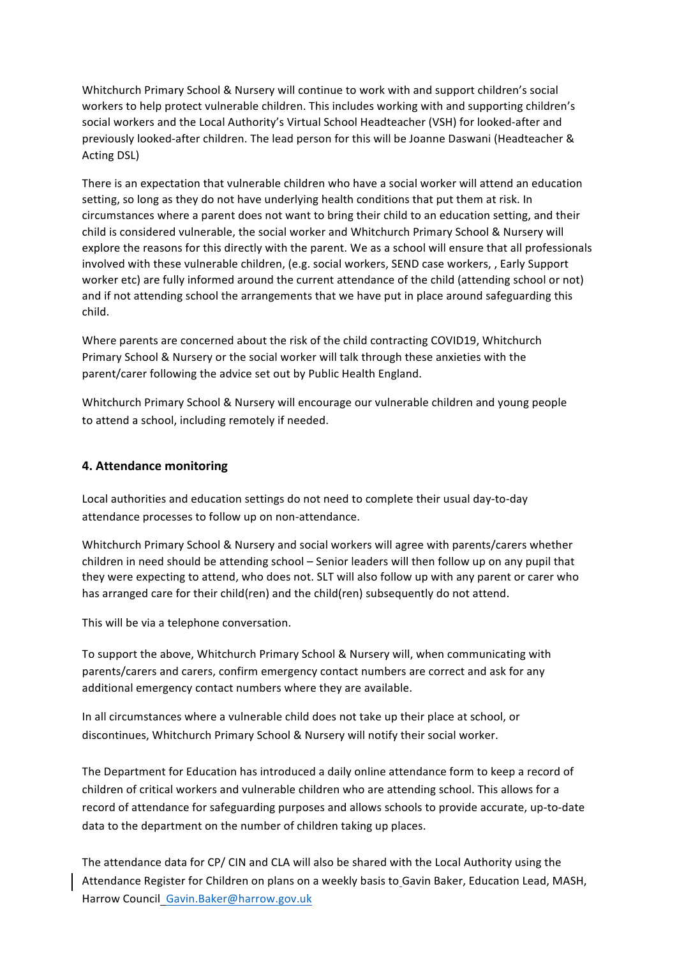Whitchurch Primary School & Nursery will continue to work with and support children's social workers to help protect vulnerable children. This includes working with and supporting children's social workers and the Local Authority's Virtual School Headteacher (VSH) for looked-after and previously looked-after children. The lead person for this will be Joanne Daswani (Headteacher & Acting DSL)

There is an expectation that vulnerable children who have a social worker will attend an education setting, so long as they do not have underlying health conditions that put them at risk. In circumstances where a parent does not want to bring their child to an education setting, and their child is considered vulnerable, the social worker and Whitchurch Primary School & Nursery will explore the reasons for this directly with the parent. We as a school will ensure that all professionals involved with these vulnerable children, (e.g. social workers, SEND case workers, , Early Support worker etc) are fully informed around the current attendance of the child (attending school or not) and if not attending school the arrangements that we have put in place around safeguarding this child.

Where parents are concerned about the risk of the child contracting COVID19, Whitchurch Primary School & Nursery or the social worker will talk through these anxieties with the parent/carer following the advice set out by Public Health England.

Whitchurch Primary School & Nursery will encourage our vulnerable children and young people to attend a school, including remotely if needed.

## **4. Attendance monitoring**

Local authorities and education settings do not need to complete their usual day-to-day attendance processes to follow up on non-attendance.

Whitchurch Primary School & Nursery and social workers will agree with parents/carers whether children in need should be attending school – Senior leaders will then follow up on any pupil that they were expecting to attend, who does not. SLT will also follow up with any parent or carer who has arranged care for their child(ren) and the child(ren) subsequently do not attend.

This will be via a telephone conversation.

To support the above, Whitchurch Primary School & Nursery will, when communicating with parents/carers and carers, confirm emergency contact numbers are correct and ask for any additional emergency contact numbers where they are available.

In all circumstances where a vulnerable child does not take up their place at school, or discontinues, Whitchurch Primary School & Nursery will notify their social worker.

The Department for Education has introduced a daily online attendance form to keep a record of children of critical workers and vulnerable children who are attending school. This allows for a record of attendance for safeguarding purposes and allows schools to provide accurate, up-to-date data to the department on the number of children taking up places.

The attendance data for CP/ CIN and CLA will also be shared with the Local Authority using the Attendance Register for Children on plans on a weekly basis to Gavin Baker, Education Lead, MASH, Harrow Council Gavin.Baker@harrow.gov.uk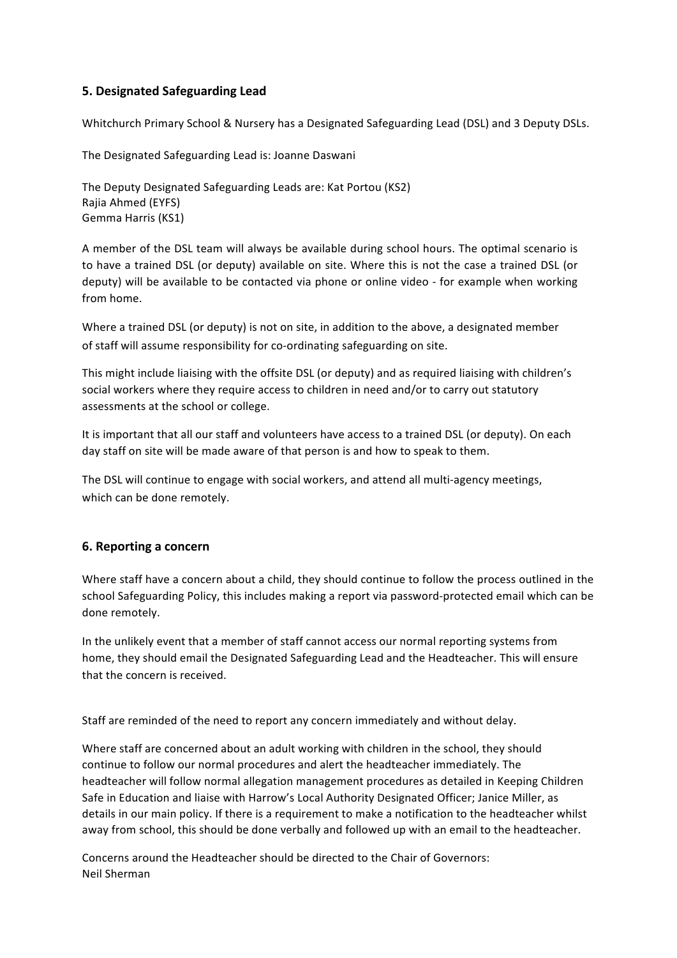# **5. Designated Safeguarding Lead**

Whitchurch Primary School & Nursery has a Designated Safeguarding Lead (DSL) and 3 Deputy DSLs.

The Designated Safeguarding Lead is: Joanne Daswani

The Deputy Designated Safeguarding Leads are: Kat Portou (KS2) Rajia Ahmed (EYFS) Gemma Harris (KS1)

A member of the DSL team will always be available during school hours. The optimal scenario is to have a trained DSL (or deputy) available on site. Where this is not the case a trained DSL (or deputy) will be available to be contacted via phone or online video - for example when working from home.

Where a trained DSL (or deputy) is not on site, in addition to the above, a designated member of staff will assume responsibility for co-ordinating safeguarding on site.

This might include liaising with the offsite DSL (or deputy) and as required liaising with children's social workers where they require access to children in need and/or to carry out statutory assessments at the school or college.

It is important that all our staff and volunteers have access to a trained DSL (or deputy). On each day staff on site will be made aware of that person is and how to speak to them.

The DSL will continue to engage with social workers, and attend all multi-agency meetings, which can be done remotely.

## **6. Reporting a concern**

Where staff have a concern about a child, they should continue to follow the process outlined in the school Safeguarding Policy, this includes making a report via password-protected email which can be done remotely.

In the unlikely event that a member of staff cannot access our normal reporting systems from home, they should email the Designated Safeguarding Lead and the Headteacher. This will ensure that the concern is received.

Staff are reminded of the need to report any concern immediately and without delay.

Where staff are concerned about an adult working with children in the school, they should continue to follow our normal procedures and alert the headteacher immediately. The headteacher will follow normal allegation management procedures as detailed in Keeping Children Safe in Education and liaise with Harrow's Local Authority Designated Officer; Janice Miller, as details in our main policy. If there is a requirement to make a notification to the headteacher whilst away from school, this should be done verbally and followed up with an email to the headteacher.

Concerns around the Headteacher should be directed to the Chair of Governors: Neil Sherman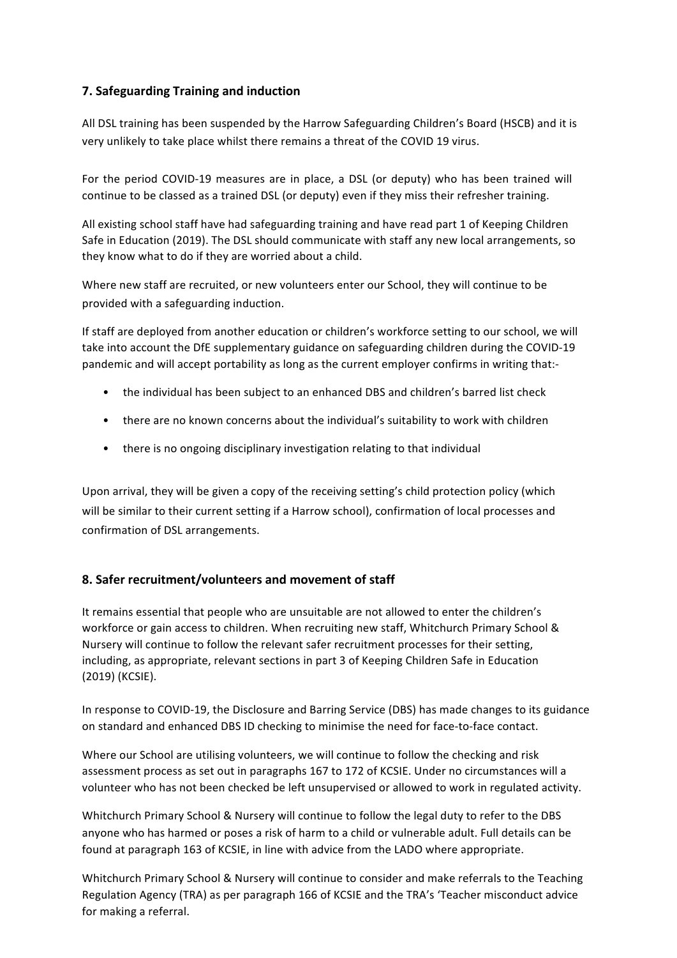# **7. Safeguarding Training and induction**

All DSL training has been suspended by the Harrow Safeguarding Children's Board (HSCB) and it is very unlikely to take place whilst there remains a threat of the COVID 19 virus.

For the period COVID-19 measures are in place, a DSL (or deputy) who has been trained will continue to be classed as a trained DSL (or deputy) even if they miss their refresher training.

All existing school staff have had safeguarding training and have read part 1 of Keeping Children Safe in Education (2019). The DSL should communicate with staff any new local arrangements, so they know what to do if they are worried about a child.

Where new staff are recruited, or new volunteers enter our School, they will continue to be provided with a safeguarding induction.

If staff are deployed from another education or children's workforce setting to our school, we will take into account the DfE supplementary guidance on safeguarding children during the COVID-19 pandemic and will accept portability as long as the current employer confirms in writing that:-

- the individual has been subject to an enhanced DBS and children's barred list check
- there are no known concerns about the individual's suitability to work with children
- there is no ongoing disciplinary investigation relating to that individual

Upon arrival, they will be given a copy of the receiving setting's child protection policy (which will be similar to their current setting if a Harrow school), confirmation of local processes and confirmation of DSL arrangements.

## **8. Safer recruitment/volunteers and movement of staff**

It remains essential that people who are unsuitable are not allowed to enter the children's workforce or gain access to children. When recruiting new staff, Whitchurch Primary School & Nursery will continue to follow the relevant safer recruitment processes for their setting, including, as appropriate, relevant sections in part 3 of Keeping Children Safe in Education (2019) (KCSIE).

In response to COVID-19, the Disclosure and Barring Service (DBS) has made changes to its guidance on standard and enhanced DBS ID checking to minimise the need for face-to-face contact.

Where our School are utilising volunteers, we will continue to follow the checking and risk assessment process as set out in paragraphs 167 to 172 of KCSIE. Under no circumstances will a volunteer who has not been checked be left unsupervised or allowed to work in regulated activity.

Whitchurch Primary School & Nursery will continue to follow the legal duty to refer to the DBS anyone who has harmed or poses a risk of harm to a child or vulnerable adult. Full details can be found at paragraph 163 of KCSIE, in line with advice from the LADO where appropriate.

Whitchurch Primary School & Nursery will continue to consider and make referrals to the Teaching Regulation Agency (TRA) as per paragraph 166 of KCSIE and the TRA's 'Teacher misconduct advice for making a referral.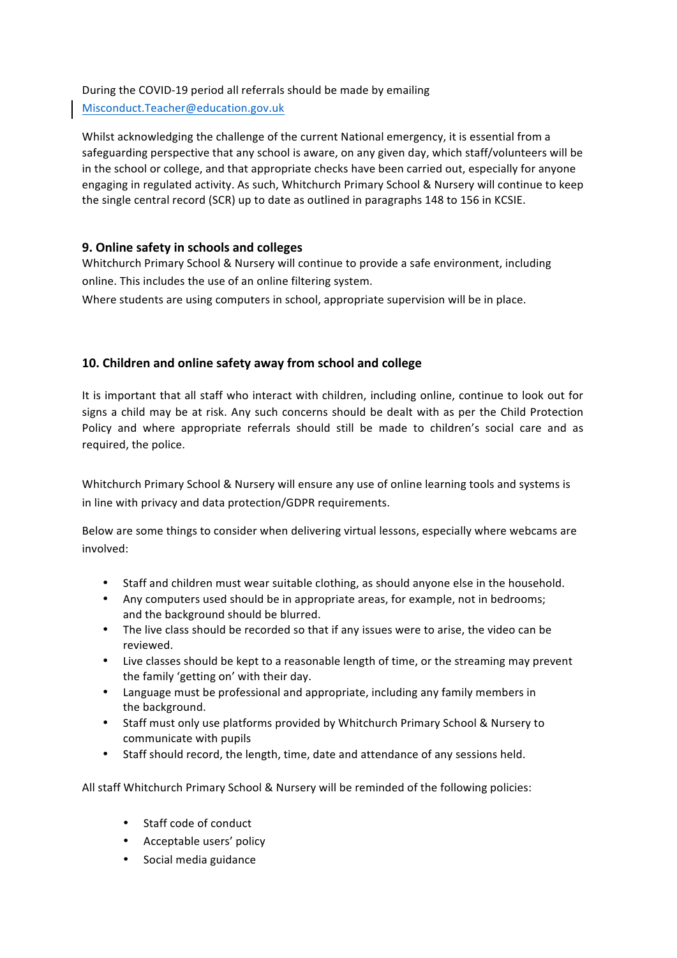#### During the COVID-19 period all referrals should be made by emailing

Misconduct.Teacher@education.gov.uk

Whilst acknowledging the challenge of the current National emergency, it is essential from a safeguarding perspective that any school is aware, on any given day, which staff/volunteers will be in the school or college, and that appropriate checks have been carried out, especially for anyone engaging in regulated activity. As such, Whitchurch Primary School & Nursery will continue to keep the single central record (SCR) up to date as outlined in paragraphs 148 to 156 in KCSIE.

# **9. Online safety in schools and colleges**

Whitchurch Primary School & Nursery will continue to provide a safe environment, including online. This includes the use of an online filtering system.

Where students are using computers in school, appropriate supervision will be in place.

# **10. Children and online safety away from school and college**

It is important that all staff who interact with children, including online, continue to look out for signs a child may be at risk. Any such concerns should be dealt with as per the Child Protection Policy and where appropriate referrals should still be made to children's social care and as required, the police.

Whitchurch Primary School & Nursery will ensure any use of online learning tools and systems is in line with privacy and data protection/GDPR requirements.

Below are some things to consider when delivering virtual lessons, especially where webcams are involved:

- Staff and children must wear suitable clothing, as should anyone else in the household.
- Any computers used should be in appropriate areas, for example, not in bedrooms; and the background should be blurred.
- The live class should be recorded so that if any issues were to arise, the video can be reviewed.
- Live classes should be kept to a reasonable length of time, or the streaming may prevent the family 'getting on' with their day.
- Language must be professional and appropriate, including any family members in the background.
- Staff must only use platforms provided by Whitchurch Primary School & Nursery to communicate with pupils
- Staff should record, the length, time, date and attendance of any sessions held.

All staff Whitchurch Primary School & Nursery will be reminded of the following policies:

- Staff code of conduct
- Acceptable users' policy
- Social media guidance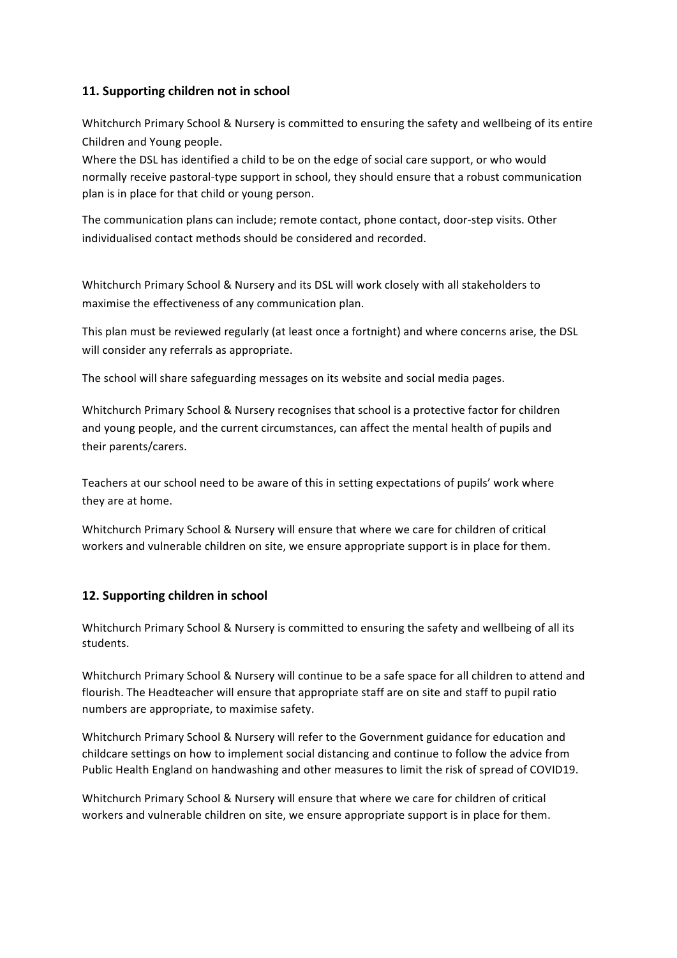# **11. Supporting children not in school**

Whitchurch Primary School & Nursery is committed to ensuring the safety and wellbeing of its entire Children and Young people.

Where the DSL has identified a child to be on the edge of social care support, or who would normally receive pastoral-type support in school, they should ensure that a robust communication plan is in place for that child or young person.

The communication plans can include; remote contact, phone contact, door-step visits. Other individualised contact methods should be considered and recorded.

Whitchurch Primary School & Nursery and its DSL will work closely with all stakeholders to maximise the effectiveness of any communication plan.

This plan must be reviewed regularly (at least once a fortnight) and where concerns arise, the DSL will consider any referrals as appropriate.

The school will share safeguarding messages on its website and social media pages.

Whitchurch Primary School & Nursery recognises that school is a protective factor for children and young people, and the current circumstances, can affect the mental health of pupils and their parents/carers.

Teachers at our school need to be aware of this in setting expectations of pupils' work where they are at home.

Whitchurch Primary School & Nursery will ensure that where we care for children of critical workers and vulnerable children on site, we ensure appropriate support is in place for them.

## **12. Supporting children in school**

Whitchurch Primary School & Nursery is committed to ensuring the safety and wellbeing of all its students.

Whitchurch Primary School & Nursery will continue to be a safe space for all children to attend and flourish. The Headteacher will ensure that appropriate staff are on site and staff to pupil ratio numbers are appropriate, to maximise safety.

Whitchurch Primary School & Nursery will refer to the Government guidance for education and childcare settings on how to implement social distancing and continue to follow the advice from Public Health England on handwashing and other measures to limit the risk of spread of COVID19.

Whitchurch Primary School & Nursery will ensure that where we care for children of critical workers and vulnerable children on site, we ensure appropriate support is in place for them.